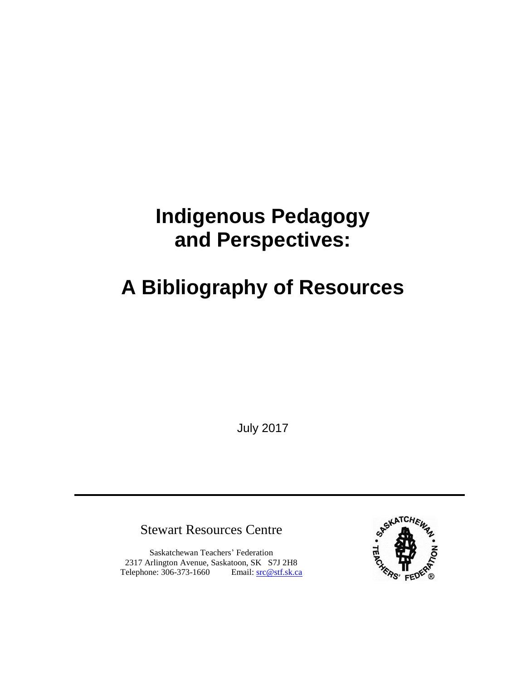## **Indigenous Pedagogy and Perspectives:**

# **A Bibliography of Resources**

July 2017

Stewart Resources Centre

Saskatchewan Teachers' Federation 2317 Arlington Avenue, Saskatoon, SK S7J 2H8 Telephone: 306-373-1660 Email: [src@stf.sk.ca](mailto:src@stf.sk.ca?subject=Action%20Research%202012)

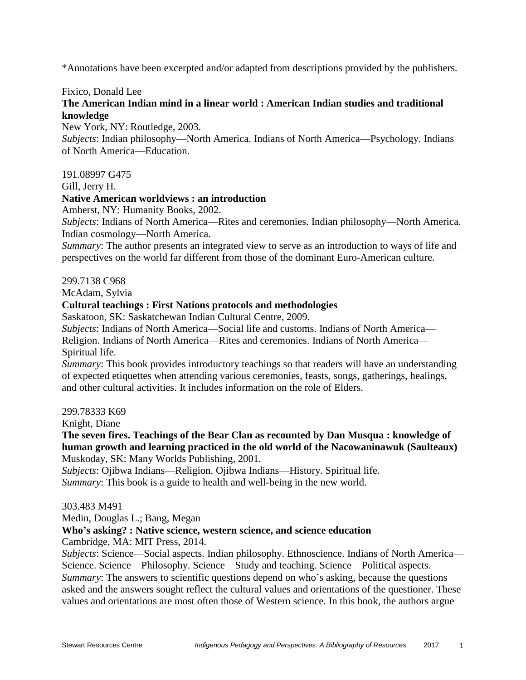\*Annotations have been excerpted and/or adapted from descriptions provided by the publishers.

#### Fixico, Donald Lee

## **The American Indian mind in a linear world : American Indian studies and traditional knowledge**

New York, NY: Routledge, 2003.

*Subjects*: Indian philosophy—North America. Indians of North America—Psychology. Indians of North America—Education.

191.08997 G475

Gill, Jerry H.

## **Native American worldviews : an introduction**

Amherst, NY: Humanity Books, 2002.

*Subjects*: Indians of North America—Rites and ceremonies. Indian philosophy—North America. Indian cosmology—North America.

*Summary*: The author presents an integrated view to serve as an introduction to ways of life and perspectives on the world far different from those of the dominant Euro-American culture.

299.7138 C968

McAdam, Sylvia

#### **Cultural teachings : First Nations protocols and methodologies**

Saskatoon, SK: Saskatchewan Indian Cultural Centre, 2009.

*Subjects*: Indians of North America—Social life and customs. Indians of North America— Religion. Indians of North America—Rites and ceremonies. Indians of North America— Spiritual life.

*Summary*: This book provides introductory teachings so that readers will have an understanding of expected etiquettes when attending various ceremonies, feasts, songs, gatherings, healings, and other cultural activities. It includes information on the role of Elders.

299.78333 K69

Knight, Diane

**The seven fires. Teachings of the Bear Clan as recounted by Dan Musqua : knowledge of human growth and learning practiced in the old world of the Nacowaninawuk (Saulteaux)** Muskoday, SK: Many Worlds Publishing, 2001.

*Subjects*: Ojibwa Indians—Religion. Ojibwa Indians—History. Spiritual life. *Summary*: This book is a guide to health and well-being in the new world.

#### 303.483 M491

Medin, Douglas L.; Bang, Megan

## **Who's asking? : Native science, western science, and science education**

Cambridge, MA: MIT Press, 2014.

*Subjects*: Science—Social aspects. Indian philosophy. Ethnoscience. Indians of North America— Science. Science—Philosophy. Science—Study and teaching. Science—Political aspects. *Summary*: The answers to scientific questions depend on who's asking, because the questions asked and the answers sought reflect the cultural values and orientations of the questioner. These values and orientations are most often those of Western science. In this book, the authors argue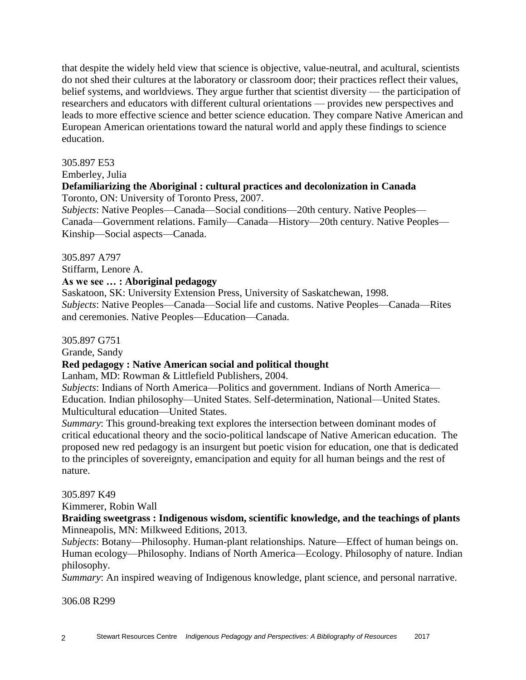that despite the widely held view that science is objective, value-neutral, and acultural, scientists do not shed their cultures at the laboratory or classroom door; their practices reflect their values, belief systems, and worldviews. They argue further that scientist diversity — the participation of researchers and educators with different cultural orientations — provides new perspectives and leads to more effective science and better science education. They compare Native American and European American orientations toward the natural world and apply these findings to science education.

#### 305.897 E53

Emberley, Julia

## **Defamiliarizing the Aboriginal : cultural practices and decolonization in Canada** Toronto, ON: University of Toronto Press, 2007.

*Subjects*: Native Peoples—Canada—Social conditions—20th century. Native Peoples— Canada—Government relations. Family—Canada—History—20th century. Native Peoples— Kinship—Social aspects—Canada.

305.897 A797

Stiffarm, Lenore A.

## **As we see … : Aboriginal pedagogy**

Saskatoon, SK: University Extension Press, University of Saskatchewan, 1998. *Subjects*: Native Peoples—Canada—Social life and customs. Native Peoples—Canada—Rites and ceremonies. Native Peoples—Education—Canada.

#### 305.897 G751

Grande, Sandy

## **Red pedagogy : Native American social and political thought**

Lanham, MD: Rowman & Littlefield Publishers, 2004.

*Subjects*: Indians of North America—Politics and government. Indians of North America— Education. Indian philosophy—United States. Self-determination, National—United States. Multicultural education—United States.

*Summary*: This ground-breaking text explores the intersection between dominant modes of critical educational theory and the socio-political landscape of Native American education. The proposed new red pedagogy is an insurgent but poetic vision for education, one that is dedicated to the principles of sovereignty, emancipation and equity for all human beings and the rest of nature.

#### 305.897 K49

Kimmerer, Robin Wall

**Braiding sweetgrass : Indigenous wisdom, scientific knowledge, and the teachings of plants** Minneapolis, MN: Milkweed Editions, 2013.

*Subjects*: Botany—Philosophy. Human-plant relationships. Nature—Effect of human beings on. Human ecology—Philosophy. Indians of North America—Ecology. Philosophy of nature. Indian philosophy.

*Summary*: An inspired weaving of Indigenous knowledge, plant science, and personal narrative.

306.08 R299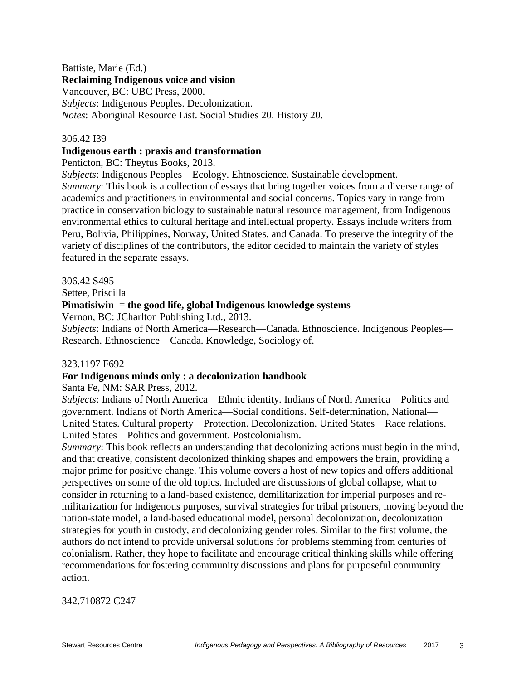## Battiste, Marie (Ed.)

## **Reclaiming Indigenous voice and vision**

Vancouver, BC: UBC Press, 2000. *Subjects*: Indigenous Peoples. Decolonization. *Notes*: Aboriginal Resource List. Social Studies 20. History 20.

## 306.42 I39

## **Indigenous earth : praxis and transformation**

Penticton, BC: Theytus Books, 2013.

*Subjects*: Indigenous Peoples—Ecology. Ehtnoscience. Sustainable development. *Summary*: This book is a collection of essays that bring together voices from a diverse range of academics and practitioners in environmental and social concerns. Topics vary in range from practice in conservation biology to sustainable natural resource management, from Indigenous environmental ethics to cultural heritage and intellectual property. Essays include writers from Peru, Bolivia, Philippines, Norway, United States, and Canada. To preserve the integrity of the variety of disciplines of the contributors, the editor decided to maintain the variety of styles featured in the separate essays.

306.42 S495

Settee, Priscilla

## **Pimatisiwin = the good life, global Indigenous knowledge systems**

Vernon, BC: JCharlton Publishing Ltd., 2013.

*Subjects*: Indians of North America—Research—Canada. Ethnoscience. Indigenous Peoples— Research. Ethnoscience—Canada. Knowledge, Sociology of.

## 323.1197 F692

## **For Indigenous minds only : a decolonization handbook**

Santa Fe, NM: SAR Press, 2012.

*Subjects*: Indians of North America—Ethnic identity. Indians of North America—Politics and government. Indians of North America—Social conditions. Self-determination, National— United States. Cultural property—Protection. Decolonization. United States—Race relations. United States—Politics and government. Postcolonialism.

*Summary*: This book reflects an understanding that decolonizing actions must begin in the mind, and that creative, consistent decolonized thinking shapes and empowers the brain, providing a major prime for positive change. This volume covers a host of new topics and offers additional perspectives on some of the old topics. Included are discussions of global collapse, what to consider in returning to a land-based existence, demilitarization for imperial purposes and remilitarization for Indigenous purposes, survival strategies for tribal prisoners, moving beyond the nation-state model, a land-based educational model, personal decolonization, decolonization strategies for youth in custody, and decolonizing gender roles. Similar to the first volume, the authors do not intend to provide universal solutions for problems stemming from centuries of colonialism. Rather, they hope to facilitate and encourage critical thinking skills while offering recommendations for fostering community discussions and plans for purposeful community action.

342.710872 C247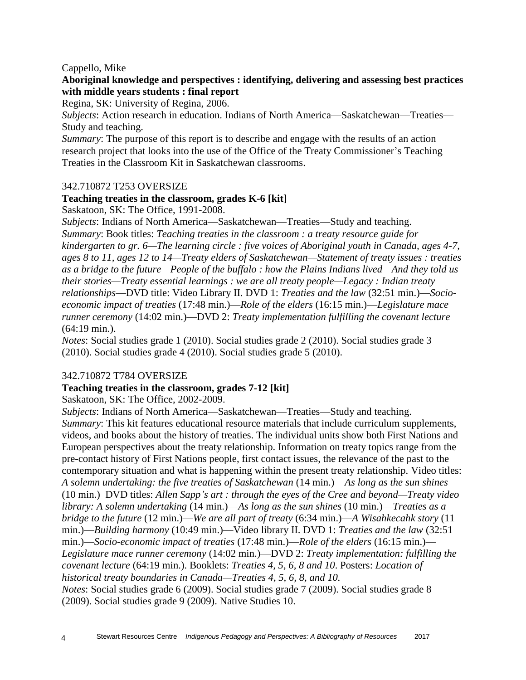## Cappello, Mike

## **Aboriginal knowledge and perspectives : identifying, delivering and assessing best practices with middle years students : final report**

Regina, SK: University of Regina, 2006.

*Subjects*: Action research in education. Indians of North America—Saskatchewan—Treaties— Study and teaching.

*Summary*: The purpose of this report is to describe and engage with the results of an action research project that looks into the use of the Office of the Treaty Commissioner's Teaching Treaties in the Classroom Kit in Saskatchewan classrooms.

## 342.710872 T253 OVERSIZE

## **Teaching treaties in the classroom, grades K-6 [kit]**

Saskatoon, SK: The Office, 1991-2008.

*Subjects*: Indians of North America—Saskatchewan—Treaties—Study and teaching. *Summary*: Book titles: *Teaching treaties in the classroom : a treaty resource guide for kindergarten to gr. 6—The learning circle : five voices of Aboriginal youth in Canada, ages 4-7, ages 8 to 11, ages 12 to 14—Treaty elders of Saskatchewan—Statement of treaty issues : treaties as a bridge to the future—People of the buffalo : how the Plains Indians lived—And they told us their stories—Treaty essential learnings : we are all treaty people—Legacy : Indian treaty relationships*—DVD title: Video Library II. DVD 1: *Treaties and the law* (32:51 min.)—*Socioeconomic impact of treaties* (17:48 min.)—*Role of the elders* (16:15 min.)—*Legislature mace runner ceremony* (14:02 min.)—DVD 2: *Treaty implementation fulfilling the covenant lecture* (64:19 min.).

*Notes*: Social studies grade 1 (2010). Social studies grade 2 (2010). Social studies grade 3 (2010). Social studies grade 4 (2010). Social studies grade 5 (2010).

## 342.710872 T784 OVERSIZE

## **Teaching treaties in the classroom, grades 7-12 [kit]**

Saskatoon, SK: The Office, 2002-2009.

*Subjects*: Indians of North America—Saskatchewan—Treaties—Study and teaching. *Summary*: This kit features educational resource materials that include curriculum supplements, videos, and books about the history of treaties. The individual units show both First Nations and European perspectives about the treaty relationship. Information on treaty topics range from the pre-contact history of First Nations people, first contact issues, the relevance of the past to the contemporary situation and what is happening within the present treaty relationship. Video titles: *A solemn undertaking: the five treaties of Saskatchewan* (14 min.)—*As long as the sun shines* (10 min.) DVD titles: *Allen Sapp's art : through the eyes of the Cree and beyond—Treaty video library: A solemn undertaking* (14 min.)—*As long as the sun shines* (10 min.)—*Treaties as a bridge to the future* (12 min.)—*We are all part of treaty* (6:34 min.)—*A Wisahkecahk story* (11 min.)—*Building harmony* (10:49 min.)—Video library II. DVD 1: *Treaties and the law* (32:51 min.)—*Socio-economic impact of treaties* (17:48 min.)—*Role of the elders* (16:15 min.)— *Legislature mace runner ceremony* (14:02 min.)—DVD 2: *Treaty implementation: fulfilling the covenant lecture* (64:19 min.). Booklets: *Treaties 4, 5, 6, 8 and 10*. Posters: *Location of historical treaty boundaries in Canada—Treaties 4, 5, 6, 8, and 10. Notes*: Social studies grade 6 (2009). Social studies grade 7 (2009). Social studies grade 8

(2009). Social studies grade 9 (2009). Native Studies 10.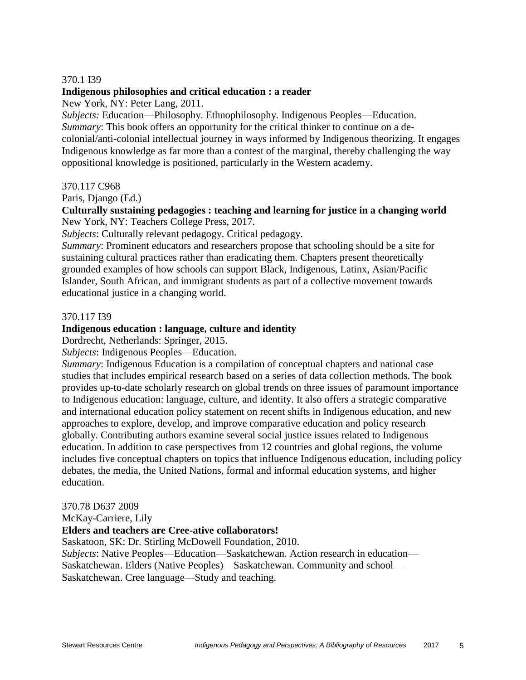#### 370.1 I39

#### **Indigenous philosophies and critical education : a reader**

New York, NY: Peter Lang, 2011.

*Subjects:* Education—Philosophy. Ethnophilosophy. Indigenous Peoples—Education*. Summary*: This book offers an opportunity for the critical thinker to continue on a decolonial/anti-colonial intellectual journey in ways informed by Indigenous theorizing. It engages Indigenous knowledge as far more than a contest of the marginal, thereby challenging the way oppositional knowledge is positioned, particularly in the Western academy.

#### 370.117 C968

Paris, Django (Ed.)

**Culturally sustaining pedagogies : teaching and learning for justice in a changing world** New York, NY: Teachers College Press, 2017.

*Subjects*: Culturally relevant pedagogy. Critical pedagogy.

*Summary*: Prominent educators and researchers propose that schooling should be a site for sustaining cultural practices rather than eradicating them. Chapters present theoretically grounded examples of how schools can support Black, Indigenous, Latinx, Asian/Pacific Islander, South African, and immigrant students as part of a collective movement towards educational justice in a changing world.

#### 370.117 I39

#### **Indigenous education : language, culture and identity**

Dordrecht, Netherlands: Springer, 2015.

*Subjects*: Indigenous Peoples—Education.

*Summary*: Indigenous Education is a compilation of conceptual chapters and national case studies that includes empirical research based on a series of data collection methods. The book provides up-to-date scholarly research on global trends on three issues of paramount importance to Indigenous education: language, culture, and identity. It also offers a strategic comparative and international education policy statement on recent shifts in Indigenous education, and new approaches to explore, develop, and improve comparative education and policy research globally. Contributing authors examine several social justice issues related to Indigenous education. In addition to case perspectives from 12 countries and global regions, the volume includes five conceptual chapters on topics that influence Indigenous education, including policy debates, the media, the United Nations, formal and informal education systems, and higher education.

#### 370.78 D637 2009

McKay-Carriere, Lily

#### **Elders and teachers are Cree-ative collaborators!**

Saskatoon, SK: Dr. Stirling McDowell Foundation, 2010.

*Subjects*: Native Peoples—Education—Saskatchewan. Action research in education— Saskatchewan. Elders (Native Peoples)—Saskatchewan. Community and school— Saskatchewan. Cree language—Study and teaching.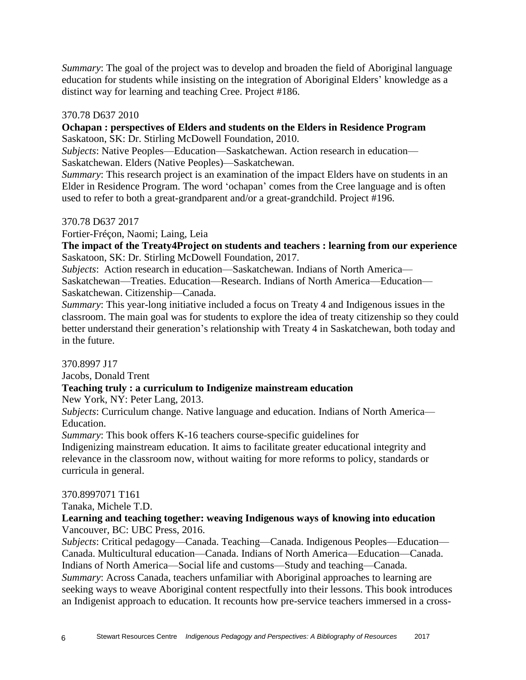*Summary*: The goal of the project was to develop and broaden the field of Aboriginal language education for students while insisting on the integration of Aboriginal Elders' knowledge as a distinct way for learning and teaching Cree. Project #186.

#### 370.78 D637 2010

#### **Ochapan : perspectives of Elders and students on the Elders in Residence Program** Saskatoon, SK: Dr. Stirling McDowell Foundation, 2010.

*Subjects*: Native Peoples—Education—Saskatchewan. Action research in education— Saskatchewan. Elders (Native Peoples)—Saskatchewan.

*Summary*: This research project is an examination of the impact Elders have on students in an Elder in Residence Program. The word 'ochapan' comes from the Cree language and is often used to refer to both a great-grandparent and/or a great-grandchild. Project #196.

#### 370.78 D637 2017

Fortier-Fréçon, Naomi; Laing, Leia

**The impact of the Treaty4Project on students and teachers : learning from our experience** Saskatoon, SK: Dr. Stirling McDowell Foundation, 2017.

*Subjects*: Action research in education—Saskatchewan. Indians of North America—

Saskatchewan—Treaties. Education—Research. Indians of North America—Education— Saskatchewan. Citizenship—Canada.

*Summary*: This year-long initiative included a focus on Treaty 4 and Indigenous issues in the classroom. The main goal was for students to explore the idea of treaty citizenship so they could better understand their generation's relationship with Treaty 4 in Saskatchewan, both today and in the future.

370.8997 J17

Jacobs, Donald Trent

## **Teaching truly : a curriculum to Indigenize mainstream education**

New York, NY: Peter Lang, 2013.

*Subjects*: Curriculum change. Native language and education. Indians of North America— Education.

*Summary*: This book offers K-16 teachers course-specific guidelines for

Indigenizing mainstream education. It aims to facilitate greater educational integrity and relevance in the classroom now, without waiting for more reforms to policy, standards or curricula in general.

#### 370.8997071 T161

Tanaka, Michele T.D.

## **Learning and teaching together: weaving Indigenous ways of knowing into education** Vancouver, BC: UBC Press, 2016.

*Subjects*: Critical pedagogy—Canada. Teaching—Canada. Indigenous Peoples—Education— Canada. Multicultural education—Canada. Indians of North America—Education—Canada. Indians of North America—Social life and customs—Study and teaching—Canada. *Summary*: Across Canada, teachers unfamiliar with Aboriginal approaches to learning are seeking ways to weave Aboriginal content respectfully into their lessons. This book introduces an Indigenist approach to education. It recounts how pre-service teachers immersed in a cross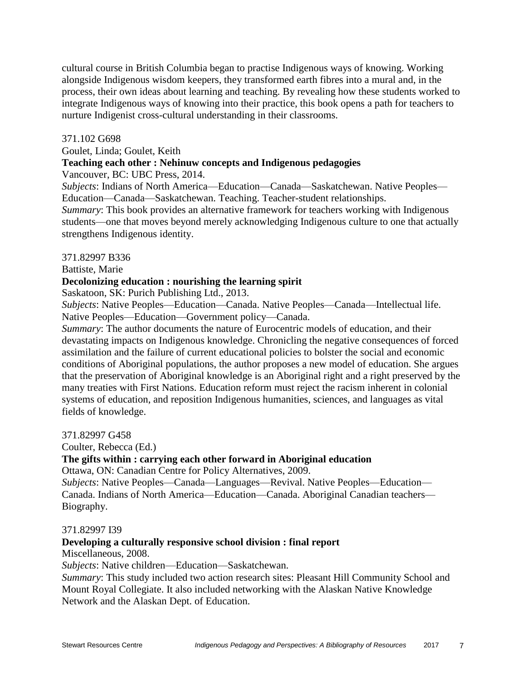cultural course in British Columbia began to practise Indigenous ways of knowing. Working alongside Indigenous wisdom keepers, they transformed earth fibres into a mural and, in the process, their own ideas about learning and teaching. By revealing how these students worked to integrate Indigenous ways of knowing into their practice, this book opens a path for teachers to nurture Indigenist cross-cultural understanding in their classrooms.

#### 371.102 G698

Goulet, Linda; Goulet, Keith

#### **Teaching each other : Nehinuw concepts and Indigenous pedagogies**

Vancouver, BC: UBC Press, 2014.

*Subjects*: Indians of North America—Education—Canada—Saskatchewan. Native Peoples— Education—Canada—Saskatchewan. Teaching. Teacher-student relationships.

*Summary*: This book provides an alternative framework for teachers working with Indigenous students—one that moves beyond merely acknowledging Indigenous culture to one that actually strengthens Indigenous identity.

#### 371.82997 B336

Battiste, Marie

#### **Decolonizing education : nourishing the learning spirit**

Saskatoon, SK: Purich Publishing Ltd., 2013.

*Subjects*: Native Peoples—Education—Canada. Native Peoples—Canada—Intellectual life. Native Peoples—Education—Government policy—Canada.

*Summary*: The author documents the nature of Eurocentric models of education, and their devastating impacts on Indigenous knowledge. Chronicling the negative consequences of forced assimilation and the failure of current educational policies to bolster the social and economic conditions of Aboriginal populations, the author proposes a new model of education. She argues that the preservation of Aboriginal knowledge is an Aboriginal right and a right preserved by the many treaties with First Nations. Education reform must reject the racism inherent in colonial systems of education, and reposition Indigenous humanities, sciences, and languages as vital fields of knowledge.

371.82997 G458

Coulter, Rebecca (Ed.)

## **The gifts within : carrying each other forward in Aboriginal education**

Ottawa, ON: Canadian Centre for Policy Alternatives, 2009.

*Subjects*: Native Peoples—Canada—Languages—Revival. Native Peoples—Education— Canada. Indians of North America—Education—Canada. Aboriginal Canadian teachers— Biography.

#### 371.82997 I39

## **Developing a culturally responsive school division : final report**

Miscellaneous, 2008.

*Subjects*: Native children—Education—Saskatchewan.

*Summary*: This study included two action research sites: Pleasant Hill Community School and Mount Royal Collegiate. It also included networking with the Alaskan Native Knowledge Network and the Alaskan Dept. of Education.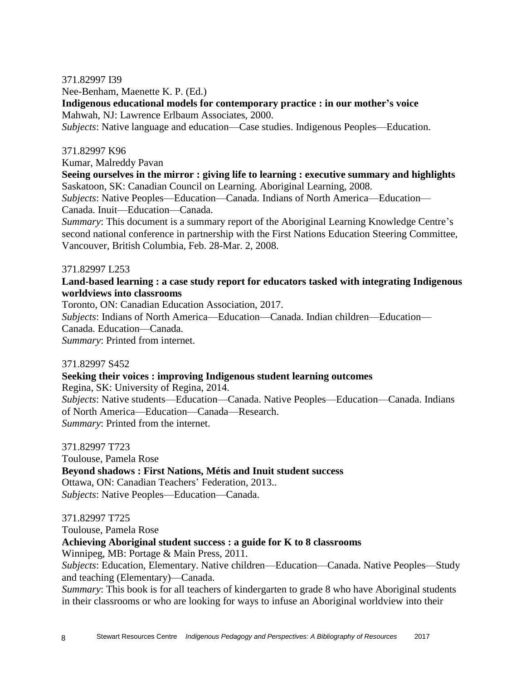#### 371.82997 I39

Nee-Benham, Maenette K. P. (Ed.)

**Indigenous educational models for contemporary practice : in our mother's voice** Mahwah, NJ: Lawrence Erlbaum Associates, 2000.

*Subjects*: Native language and education—Case studies. Indigenous Peoples—Education.

#### 371.82997 K96

Kumar, Malreddy Pavan

**Seeing ourselves in the mirror : giving life to learning : executive summary and highlights** Saskatoon, SK: Canadian Council on Learning. Aboriginal Learning, 2008.

*Subjects*: Native Peoples—Education—Canada. Indians of North America—Education— Canada. Inuit—Education—Canada.

*Summary*: This document is a summary report of the Aboriginal Learning Knowledge Centre's second national conference in partnership with the First Nations Education Steering Committee, Vancouver, British Columbia, Feb. 28-Mar. 2, 2008.

#### 371.82997 L253

## **Land-based learning : a case study report for educators tasked with integrating Indigenous worldviews into classrooms**

Toronto, ON: Canadian Education Association, 2017.

*Subjects*: Indians of North America—Education—Canada. Indian children—Education— Canada. Education—Canada.

*Summary*: Printed from internet.

#### 371.82997 S452

#### **Seeking their voices : improving Indigenous student learning outcomes**

Regina, SK: University of Regina, 2014.

*Subjects*: Native students—Education—Canada. Native Peoples—Education—Canada. Indians of North America—Education—Canada—Research. *Summary*: Printed from the internet.

371.82997 T723

Toulouse, Pamela Rose **Beyond shadows : First Nations, Métis and Inuit student success** Ottawa, ON: Canadian Teachers' Federation, 2013.. *Subjects*: Native Peoples—Education—Canada.

#### 371.82997 T725

Toulouse, Pamela Rose

#### **Achieving Aboriginal student success : a guide for K to 8 classrooms**

Winnipeg, MB: Portage & Main Press, 2011.

*Subjects*: Education, Elementary. Native children—Education—Canada. Native Peoples—Study and teaching (Elementary)—Canada.

*Summary*: This book is for all teachers of kindergarten to grade 8 who have Aboriginal students in their classrooms or who are looking for ways to infuse an Aboriginal worldview into their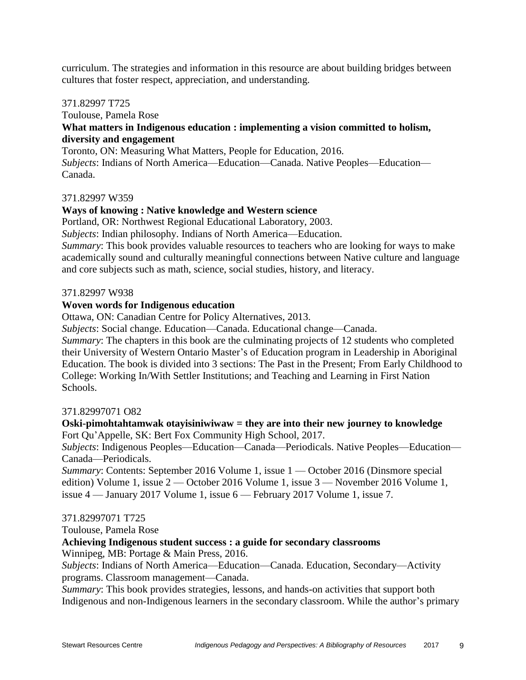curriculum. The strategies and information in this resource are about building bridges between cultures that foster respect, appreciation, and understanding.

#### 371.82997 T725

## Toulouse, Pamela Rose **What matters in Indigenous education : implementing a vision committed to holism, diversity and engagement**

Toronto, ON: Measuring What Matters, People for Education, 2016. *Subjects*: Indians of North America—Education—Canada. Native Peoples—Education— Canada.

## 371.82997 W359

## **Ways of knowing : Native knowledge and Western science**

Portland, OR: Northwest Regional Educational Laboratory, 2003.

*Subjects*: Indian philosophy. Indians of North America—Education.

*Summary*: This book provides valuable resources to teachers who are looking for ways to make academically sound and culturally meaningful connections between Native culture and language and core subjects such as math, science, social studies, history, and literacy.

## 371.82997 W938

## **Woven words for Indigenous education**

Ottawa, ON: Canadian Centre for Policy Alternatives, 2013.

*Subjects*: Social change. Education—Canada. Educational change—Canada.

*Summary*: The chapters in this book are the culminating projects of 12 students who completed their University of Western Ontario Master's of Education program in Leadership in Aboriginal Education. The book is divided into 3 sections: The Past in the Present; From Early Childhood to College: Working In/With Settler Institutions; and Teaching and Learning in First Nation Schools.

## 371.82997071 O82

## **Oski-pimohtahtamwak otayisiniwiwaw = they are into their new journey to knowledge** Fort Qu'Appelle, SK: Bert Fox Community High School, 2017.

*Subjects*: Indigenous Peoples—Education—Canada—Periodicals. Native Peoples—Education— Canada—Periodicals.

*Summary*: Contents: September 2016 Volume 1, issue  $1 -$ October 2016 (Dinsmore special edition) Volume 1, issue 2 — October 2016 Volume 1, issue 3 — November 2016 Volume 1, issue 4 — January 2017 Volume 1, issue 6 — February 2017 Volume 1, issue 7.

## 371.82997071 T725

Toulouse, Pamela Rose

## **Achieving Indigenous student success : a guide for secondary classrooms**

Winnipeg, MB: Portage & Main Press, 2016.

*Subjects*: Indians of North America—Education—Canada. Education, Secondary—Activity programs. Classroom management—Canada.

*Summary*: This book provides strategies, lessons, and hands-on activities that support both Indigenous and non-Indigenous learners in the secondary classroom. While the author's primary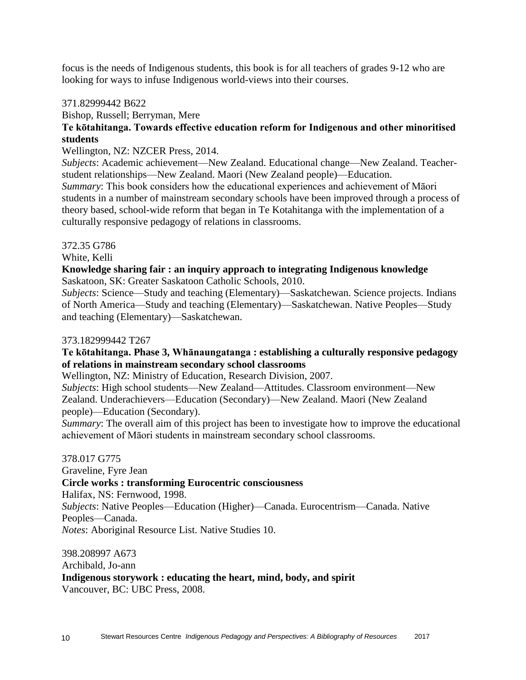focus is the needs of Indigenous students, this book is for all teachers of grades 9-12 who are looking for ways to infuse Indigenous world-views into their courses.

#### 371.82999442 B622

Bishop, Russell; Berryman, Mere

## **Te kōtahitanga. Towards effective education reform for Indigenous and other minoritised students**

#### Wellington, NZ: NZCER Press, 2014.

*Subjects*: Academic achievement—New Zealand. Educational change—New Zealand. Teacherstudent relationships—New Zealand. Maori (New Zealand people)—Education. *Summary*: This book considers how the educational experiences and achievement of Māori students in a number of mainstream secondary schools have been improved through a process of theory based, school-wide reform that began in Te Kotahitanga with the implementation of a culturally responsive pedagogy of relations in classrooms.

## 372.35 G786

White, Kelli

#### **Knowledge sharing fair : an inquiry approach to integrating Indigenous knowledge** Saskatoon, SK: Greater Saskatoon Catholic Schools, 2010.

*Subjects*: Science—Study and teaching (Elementary)—Saskatchewan. Science projects. Indians of North America—Study and teaching (Elementary)—Saskatchewan. Native Peoples—Study and teaching (Elementary)—Saskatchewan.

#### 373.182999442 T267

#### **Te kōtahitanga. Phase 3, Whānaungatanga : establishing a culturally responsive pedagogy of relations in mainstream secondary school classrooms**

Wellington, NZ: Ministry of Education, Research Division, 2007.

*Subjects*: High school students—New Zealand—Attitudes. Classroom environment—New Zealand. Underachievers—Education (Secondary)—New Zealand. Maori (New Zealand people)—Education (Secondary).

*Summary*: The overall aim of this project has been to investigate how to improve the educational achievement of Māori students in mainstream secondary school classrooms.

#### 378.017 G775

Graveline, Fyre Jean

## **Circle works : transforming Eurocentric consciousness**

Halifax, NS: Fernwood, 1998.

*Subjects*: Native Peoples—Education (Higher)—Canada. Eurocentrism—Canada. Native Peoples—Canada.

*Notes*: Aboriginal Resource List. Native Studies 10.

398.208997 A673 Archibald, Jo-ann **Indigenous storywork : educating the heart, mind, body, and spirit** Vancouver, BC: UBC Press, 2008.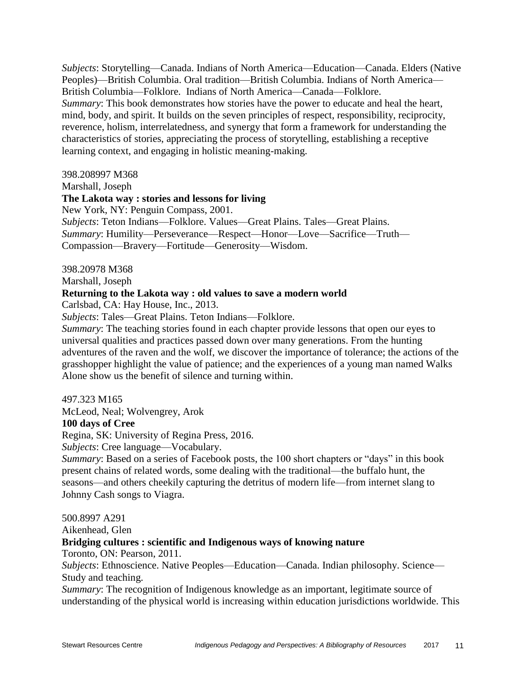*Subjects*: Storytelling—Canada. Indians of North America—Education—Canada. Elders (Native Peoples)—British Columbia. Oral tradition—British Columbia. Indians of North America— British Columbia—Folklore. Indians of North America—Canada—Folklore. *Summary*: This book demonstrates how stories have the power to educate and heal the heart, mind, body, and spirit. It builds on the seven principles of respect, responsibility, reciprocity, reverence, holism, interrelatedness, and synergy that form a framework for understanding the characteristics of stories, appreciating the process of storytelling, establishing a receptive learning context, and engaging in holistic meaning-making.

398.208997 M368

Marshall, Joseph

## **The Lakota way : stories and lessons for living**

New York, NY: Penguin Compass, 2001.

*Subjects*: Teton Indians—Folklore. Values—Great Plains. Tales—Great Plains. *Summary*: Humility—Perseverance—Respect—Honor—Love—Sacrifice—Truth— Compassion—Bravery—Fortitude—Generosity—Wisdom.

#### 398.20978 M368

Marshall, Joseph

#### **Returning to the Lakota way : old values to save a modern world**

Carlsbad, CA: Hay House, Inc., 2013.

*Subjects*: Tales—Great Plains. Teton Indians—Folklore.

*Summary*: The teaching stories found in each chapter provide lessons that open our eyes to universal qualities and practices passed down over many generations. From the hunting adventures of the raven and the wolf, we discover the importance of tolerance; the actions of the grasshopper highlight the value of patience; and the experiences of a young man named Walks Alone show us the benefit of silence and turning within.

497.323 M165

McLeod, Neal; Wolvengrey, Arok

#### **100 days of Cree**

Regina, SK: University of Regina Press, 2016.

*Subjects*: Cree language—Vocabulary.

*Summary*: Based on a series of Facebook posts, the 100 short chapters or "days" in this book present chains of related words, some dealing with the traditional—the buffalo hunt, the seasons—and others cheekily capturing the detritus of modern life—from internet slang to Johnny Cash songs to Viagra.

500.8997 A291

Aikenhead, Glen

#### **Bridging cultures : scientific and Indigenous ways of knowing nature**

Toronto, ON: Pearson, 2011.

*Subjects*: Ethnoscience. Native Peoples—Education—Canada. Indian philosophy. Science— Study and teaching.

*Summary*: The recognition of Indigenous knowledge as an important, legitimate source of understanding of the physical world is increasing within education jurisdictions worldwide. This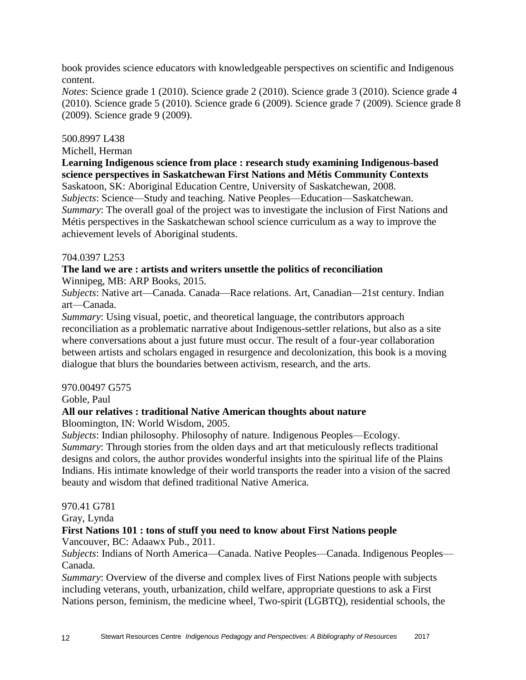book provides science educators with knowledgeable perspectives on scientific and Indigenous content.

*Notes*: Science grade 1 (2010). Science grade 2 (2010). Science grade 3 (2010). Science grade 4 (2010). Science grade 5 (2010). Science grade 6 (2009). Science grade 7 (2009). Science grade 8 (2009). Science grade 9 (2009).

## 500.8997 L438

Michell, Herman

**Learning Indigenous science from place : research study examining Indigenous-based science perspectives in Saskatchewan First Nations and Métis Community Contexts** Saskatoon, SK: Aboriginal Education Centre, University of Saskatchewan, 2008.

*Subjects*: Science—Study and teaching. Native Peoples—Education—Saskatchewan. *Summary*: The overall goal of the project was to investigate the inclusion of First Nations and Métis perspectives in the Saskatchewan school science curriculum as a way to improve the achievement levels of Aboriginal students.

## 704.0397 L253

#### **The land we are : artists and writers unsettle the politics of reconciliation** Winnipeg, MB: ARP Books, 2015.

*Subjects*: Native art—Canada. Canada—Race relations. Art, Canadian—21st century. Indian art—Canada.

*Summary*: Using visual, poetic, and theoretical language, the contributors approach reconciliation as a problematic narrative about Indigenous-settler relations, but also as a site where conversations about a just future must occur. The result of a four-year collaboration between artists and scholars engaged in resurgence and decolonization, this book is a moving dialogue that blurs the boundaries between activism, research, and the arts.

## 970.00497 G575

Goble, Paul

## **All our relatives : traditional Native American thoughts about nature**

Bloomington, IN: World Wisdom, 2005.

*Subjects*: Indian philosophy. Philosophy of nature. Indigenous Peoples—Ecology. *Summary*: Through stories from the olden days and art that meticulously reflects traditional designs and colors, the author provides wonderful insights into the spiritual life of the Plains Indians. His intimate knowledge of their world transports the reader into a vision of the sacred beauty and wisdom that defined traditional Native America.

## 970.41 G781

Gray, Lynda

## **First Nations 101 : tons of stuff you need to know about First Nations people**

Vancouver, BC: Adaawx Pub., 2011.

*Subjects*: Indians of North America—Canada. Native Peoples—Canada. Indigenous Peoples— Canada.

*Summary*: Overview of the diverse and complex lives of First Nations people with subjects including veterans, youth, urbanization, child welfare, appropriate questions to ask a First Nations person, feminism, the medicine wheel, Two-spirit (LGBTQ), residential schools, the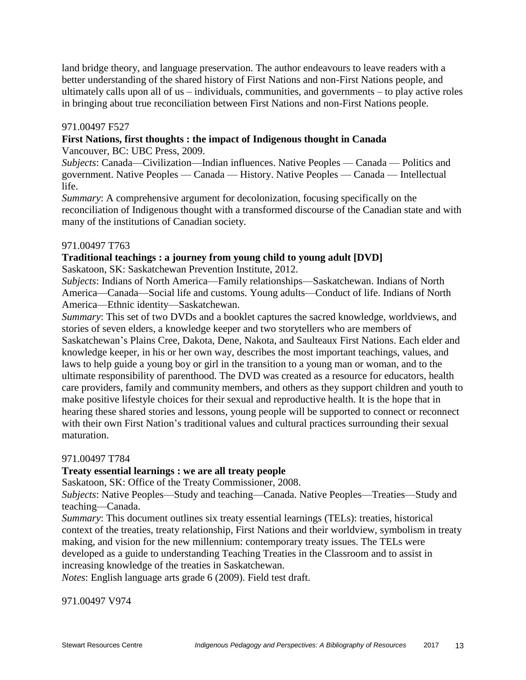land bridge theory, and language preservation. The author endeavours to leave readers with a better understanding of the shared history of First Nations and non-First Nations people, and ultimately calls upon all of us – individuals, communities, and governments – to play active roles in bringing about true reconciliation between First Nations and non-First Nations people.

## 971.00497 F527

## **First Nations, first thoughts : the impact of Indigenous thought in Canada**

Vancouver, BC: UBC Press, 2009.

*Subjects*: Canada—Civilization—Indian influences. Native Peoples — Canada — Politics and government. Native Peoples — Canada — History. Native Peoples — Canada — Intellectual life.

*Summary*: A comprehensive argument for decolonization, focusing specifically on the reconciliation of Indigenous thought with a transformed discourse of the Canadian state and with many of the institutions of Canadian society.

## 971.00497 T763

## **Traditional teachings : a journey from young child to young adult [DVD]**

Saskatoon, SK: Saskatchewan Prevention Institute, 2012.

*Subjects*: Indians of North America—Family relationships—Saskatchewan. Indians of North America—Canada—Social life and customs. Young adults—Conduct of life. Indians of North America—Ethnic identity—Saskatchewan.

*Summary*: This set of two DVDs and a booklet captures the sacred knowledge, worldviews, and stories of seven elders, a knowledge keeper and two storytellers who are members of Saskatchewan's Plains Cree, Dakota, Dene, Nakota, and Saulteaux First Nations. Each elder and knowledge keeper, in his or her own way, describes the most important teachings, values, and laws to help guide a young boy or girl in the transition to a young man or woman, and to the ultimate responsibility of parenthood. The DVD was created as a resource for educators, health care providers, family and community members, and others as they support children and youth to make positive lifestyle choices for their sexual and reproductive health. It is the hope that in hearing these shared stories and lessons, young people will be supported to connect or reconnect with their own First Nation's traditional values and cultural practices surrounding their sexual maturation.

#### 971.00497 T784

## **Treaty essential learnings : we are all treaty people**

Saskatoon, SK: Office of the Treaty Commissioner, 2008.

*Subjects*: Native Peoples—Study and teaching—Canada. Native Peoples—Treaties—Study and teaching—Canada.

*Summary*: This document outlines six treaty essential learnings (TELs): treaties, historical context of the treaties, treaty relationship, First Nations and their worldview, symbolism in treaty making, and vision for the new millennium: contemporary treaty issues. The TELs were developed as a guide to understanding Teaching Treaties in the Classroom and to assist in increasing knowledge of the treaties in Saskatchewan.

*Notes*: English language arts grade 6 (2009). Field test draft.

971.00497 V974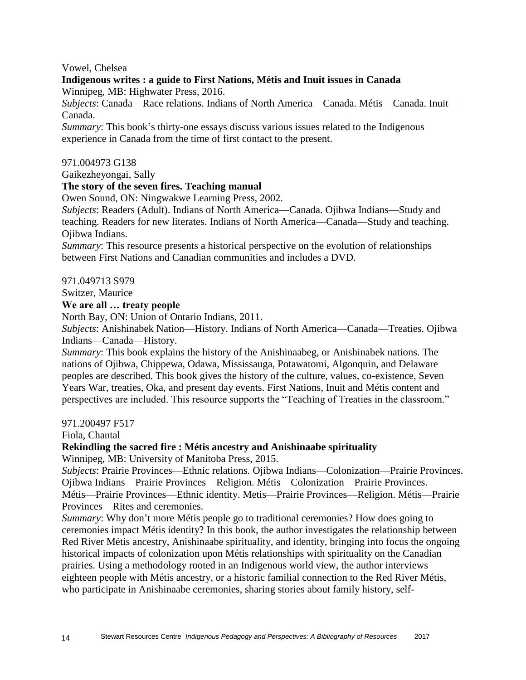## Vowel, Chelsea

#### **Indigenous writes : a guide to First Nations, Métis and Inuit issues in Canada** Winnipeg, MB: Highwater Press, 2016.

*Subjects*: Canada—Race relations. Indians of North America—Canada. Métis—Canada. Inuit— Canada.

*Summary*: This book's thirty-one essays discuss various issues related to the Indigenous experience in Canada from the time of first contact to the present.

#### 971.004973 G138

Gaikezheyongai, Sally

#### **The story of the seven fires. Teaching manual**

Owen Sound, ON: Ningwakwe Learning Press, 2002.

*Subjects*: Readers (Adult). Indians of North America—Canada. Ojibwa Indians—Study and teaching. Readers for new literates. Indians of North America—Canada—Study and teaching. Ojibwa Indians.

*Summary*: This resource presents a historical perspective on the evolution of relationships between First Nations and Canadian communities and includes a DVD.

971.049713 S979

Switzer, Maurice

#### **We are all … treaty people**

North Bay, ON: Union of Ontario Indians, 2011.

*Subjects*: Anishinabek Nation—History. Indians of North America—Canada—Treaties. Ojibwa Indians—Canada—History.

*Summary*: This book explains the history of the Anishinaabeg, or Anishinabek nations. The nations of Ojibwa, Chippewa, Odawa, Mississauga, Potawatomi, Algonquin, and Delaware peoples are described. This book gives the history of the culture, values, co-existence, Seven Years War, treaties, Oka, and present day events. First Nations, Inuit and Métis content and perspectives are included. This resource supports the "Teaching of Treaties in the classroom."

#### 971.200497 F517

Fiola, Chantal

#### **Rekindling the sacred fire : Métis ancestry and Anishinaabe spirituality**

Winnipeg, MB: University of Manitoba Press, 2015.

*Subjects*: Prairie Provinces—Ethnic relations. Ojibwa Indians—Colonization—Prairie Provinces. Ojibwa Indians—Prairie Provinces—Religion. Métis—Colonization—Prairie Provinces. Métis—Prairie Provinces—Ethnic identity. Metis—Prairie Provinces—Religion. Métis—Prairie Provinces—Rites and ceremonies.

*Summary*: Why don't more Métis people go to traditional ceremonies? How does going to ceremonies impact Métis identity? In this book, the author investigates the relationship between Red River Métis ancestry, Anishinaabe spirituality, and identity, bringing into focus the ongoing historical impacts of colonization upon Métis relationships with spirituality on the Canadian prairies. Using a methodology rooted in an Indigenous world view, the author interviews eighteen people with Métis ancestry, or a historic familial connection to the Red River Métis, who participate in Anishinaabe ceremonies, sharing stories about family history, self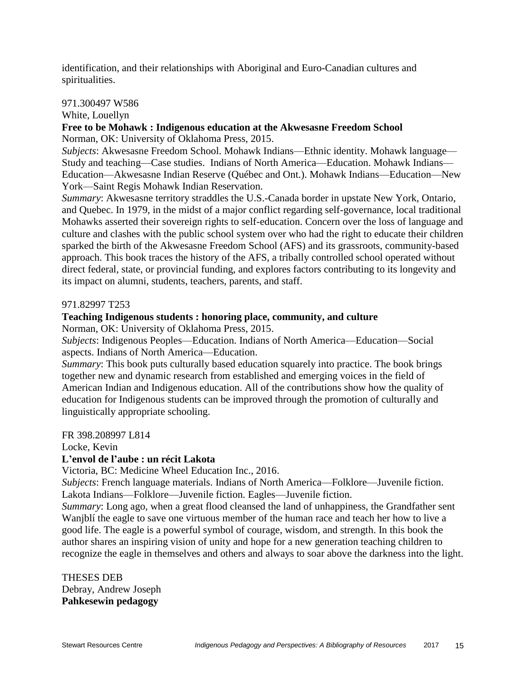identification, and their relationships with Aboriginal and Euro-Canadian cultures and spiritualities.

## 971.300497 W586

White, Louellyn

## **Free to be Mohawk : Indigenous education at the Akwesasne Freedom School**

Norman, OK: University of Oklahoma Press, 2015.

*Subjects*: Akwesasne Freedom School. Mohawk Indians—Ethnic identity. Mohawk language— Study and teaching—Case studies. Indians of North America—Education. Mohawk Indians— Education—Akwesasne Indian Reserve (Québec and Ont.). Mohawk Indians—Education—New York—Saint Regis Mohawk Indian Reservation.

*Summary*: Akwesasne territory straddles the U.S.-Canada border in upstate New York, Ontario, and Quebec. In 1979, in the midst of a major conflict regarding self-governance, local traditional Mohawks asserted their sovereign rights to self-education. Concern over the loss of language and culture and clashes with the public school system over who had the right to educate their children sparked the birth of the Akwesasne Freedom School (AFS) and its grassroots, community-based approach. This book traces the history of the AFS, a tribally controlled school operated without direct federal, state, or provincial funding, and explores factors contributing to its longevity and its impact on alumni, students, teachers, parents, and staff.

## 971.82997 T253

## **Teaching Indigenous students : honoring place, community, and culture**

Norman, OK: University of Oklahoma Press, 2015.

*Subjects*: Indigenous Peoples—Education. Indians of North America—Education—Social aspects. Indians of North America—Education.

*Summary*: This book puts culturally based education squarely into practice. The book brings together new and dynamic research from established and emerging voices in the field of American Indian and Indigenous education. All of the contributions show how the quality of education for Indigenous students can be improved through the promotion of culturally and linguistically appropriate schooling.

FR 398.208997 L814

Locke, Kevin

## **L'envol de l'aube : un récit Lakota**

Victoria, BC: Medicine Wheel Education Inc., 2016.

*Subjects*: French language materials. Indians of North America—Folklore—Juvenile fiction. Lakota Indians—Folklore—Juvenile fiction. Eagles—Juvenile fiction.

*Summary*: Long ago, when a great flood cleansed the land of unhappiness, the Grandfather sent Wanjblí the eagle to save one virtuous member of the human race and teach her how to live a good life. The eagle is a powerful symbol of courage, wisdom, and strength. In this book the author shares an inspiring vision of unity and hope for a new generation teaching children to recognize the eagle in themselves and others and always to soar above the darkness into the light.

THESES DEB Debray, Andrew Joseph **Pahkesewin pedagogy**